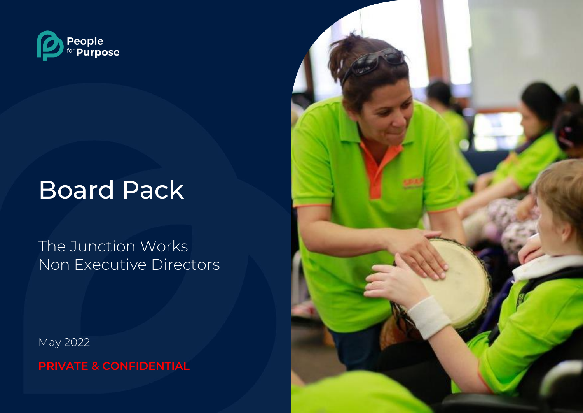

# Board Pack

The Junction Works Non Executive Directors

May 2022

**PRIVATE & CONFIDENTIAL**

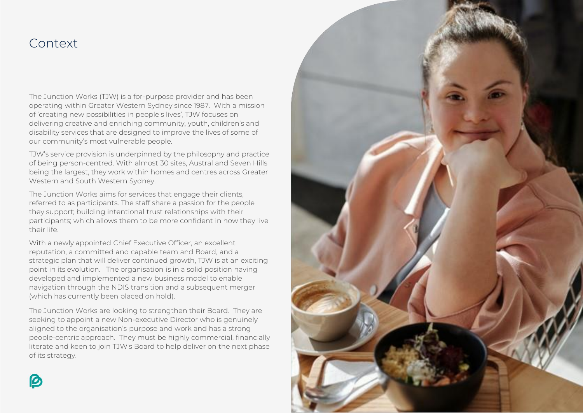### Context

The Junction Works (TJW) is a for-purpose provider and has been operating within Greater Western Sydney since 1987. With a mission of 'creating new possibilities in people's lives', TJW focuses on delivering creative and enriching community, youth, children's and disability services that are designed to improve the lives of some of our community's most vulnerable people.

TJW's service provision is underpinned by the philosophy and practice of being person-centred. With almost 30 sites, Austral and Seven Hills being the largest, they work within homes and centres across Greater Western and South Western Sydney.

The Junction Works aims for services that engage their clients, referred to as participants. The staff share a passion for the people they support; building intentional trust relationships with their participants; which allows them to be more confident in how they live their life.

With a newly appointed Chief Executive Officer, an excellent reputation, a committed and capable team and Board, and a strategic plan that will deliver continued growth, TJW is at an exciting point in its evolution. The organisation is in a solid position having developed and implemented a new business model to enable navigation through the NDIS transition and a subsequent merger (which has currently been placed on hold).

The Junction Works are looking to strengthen their Board. They are seeking to appoint a new Non-executive Director who is genuinely aligned to the organisation's purpose and work and has a strong people-centric approach. They must be highly commercial, financially literate and keen to join TJW's Board to help deliver on the next phase of its strategy.

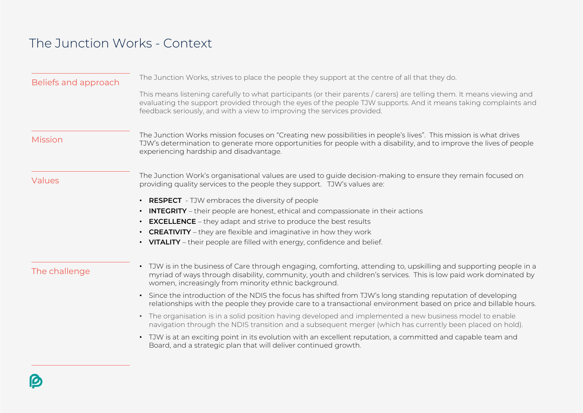## The Junction Works - Context

| Beliefs and approach | The Junction Works, strives to place the people they support at the centre of all that they do.                                                                                                                                                                                                                      |
|----------------------|----------------------------------------------------------------------------------------------------------------------------------------------------------------------------------------------------------------------------------------------------------------------------------------------------------------------|
|                      | This means listening carefully to what participants (or their parents / carers) are telling them. It means viewing and<br>evaluating the support provided through the eyes of the people TJW supports. And it means taking complaints and<br>feedback seriously, and with a view to improving the services provided. |
| <b>Mission</b>       | The Junction Works mission focuses on "Creating new possibilities in people's lives". This mission is what drives<br>TJW's determination to generate more opportunities for people with a disability, and to improve the lives of people<br>experiencing hardship and disadvantage.                                  |
| Values               | The Junction Work's organisational values are used to guide decision-making to ensure they remain focused on<br>providing quality services to the people they support. TJW's values are:                                                                                                                             |
|                      | • RESPECT - TJW embraces the diversity of people                                                                                                                                                                                                                                                                     |
|                      | • INTEGRITY - their people are honest, ethical and compassionate in their actions                                                                                                                                                                                                                                    |
|                      | <b>EXCELLENCE</b> - they adapt and strive to produce the best results                                                                                                                                                                                                                                                |
|                      | • CREATIVITY - they are flexible and imaginative in how they work                                                                                                                                                                                                                                                    |
|                      | • VITALITY - their people are filled with energy, confidence and belief.                                                                                                                                                                                                                                             |
| The challenge        | • TJW is in the business of Care through engaging, comforting, attending to, upskilling and supporting people in a<br>myriad of ways through disability, community, youth and children's services. This is low paid work dominated by<br>women, increasingly from minority ethnic background.                        |
|                      | • Since the introduction of the NDIS the focus has shifted from TJW's long standing reputation of developing<br>relationships with the people they provide care to a transactional environment based on price and billable hours.                                                                                    |
|                      | • The organisation is in a solid position having developed and implemented a new business model to enable<br>navigation through the NDIS transition and a subsequent merger (which has currently been placed on hold).                                                                                               |
|                      | • TJW is at an exciting point in its evolution with an excellent reputation, a committed and capable team and<br>Board, and a strategic plan that will deliver continued growth.                                                                                                                                     |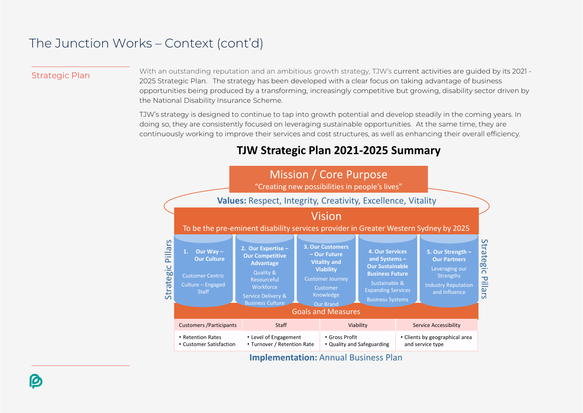### The Junction Works – Context (cont'd)

Strategic Plan With an outstanding reputation and an ambitious growth strategy, TJW's current activities are guided by its 2021 -2025 Strategic Plan. The strategy has been developed with a clear focus on taking advantage of business opportunities being produced by a transforming, increasingly competitive but growing, disability sector driven by the National Disability Insurance Scheme.

> TJW's strategy is designed to continue to tap into growth potential and develop steadily in the coming years. In doing so, they are consistently focused on leveraging sustainable opportunities. At the same time, they are continuously working to improve their services and cost structures, as well as enhancing their overall efficiency.



### **TJW Strategic Plan 2021-2025 Summary**

**Implementation: Annual Business Plan**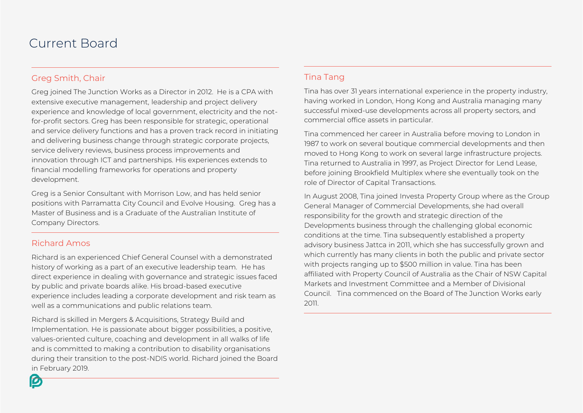### Current Board

#### Greg Smith, Chair

Greg joined The Junction Works as a Director in 2012. He is a CPA with extensive executive management, leadership and project delivery experience and knowledge of local government, electricity and the notfor-profit sectors. Greg has been responsible for strategic, operational and service delivery functions and has a proven track record in initiating and delivering business change through strategic corporate projects, service delivery reviews, business process improvements and innovation through ICT and partnerships. His experiences extends to financial modelling frameworks for operations and property development.

Greg is a Senior Consultant with Morrison Low, and has held senior positions with Parramatta City Council and Evolve Housing. Greg has a Master of Business and is a Graduate of the Australian Institute of Company Directors.

#### Richard Amos

Richard is an experienced Chief General Counsel with a demonstrated history of working as a part of an executive leadership team. He has direct experience in dealing with governance and strategic issues faced by public and private boards alike. His broad-based executive experience includes leading a corporate development and risk team as well as a communications and public relations team.

Richard is skilled in Mergers & Acquisitions, Strategy Build and Implementation. He is passionate about bigger possibilities, a positive, values-oriented culture, coaching and development in all walks of life and is committed to making a contribution to disability organisations during their transition to the post-NDIS world. Richard joined the Board in February 2019.

#### Tina Tang

Tina has over 31 years international experience in the property industry, having worked in London, Hong Kong and Australia managing many successful mixed-use developments across all property sectors, and commercial office assets in particular.

Tina commenced her career in Australia before moving to London in 1987 to work on several boutique commercial developments and then moved to Hong Kong to work on several large infrastructure projects. Tina returned to Australia in 1997, as Project Director for Lend Lease, before joining Brookfield Multiplex where she eventually took on the role of Director of Capital Transactions.

In August 2008, Tina joined Investa Property Group where as the Group General Manager of Commercial Developments, she had overall responsibility for the growth and strategic direction of the Developments business through the challenging global economic conditions at the time. Tina subsequently established a property advisory business Jattca in 2011, which she has successfully grown and which currently has many clients in both the public and private sector with projects ranging up to \$500 million in value. Tina has been affiliated with Property Council of Australia as the Chair of NSW Capital Markets and Investment Committee and a Member of Divisional Council. Tina commenced on the Board of The Junction Works early 2011.

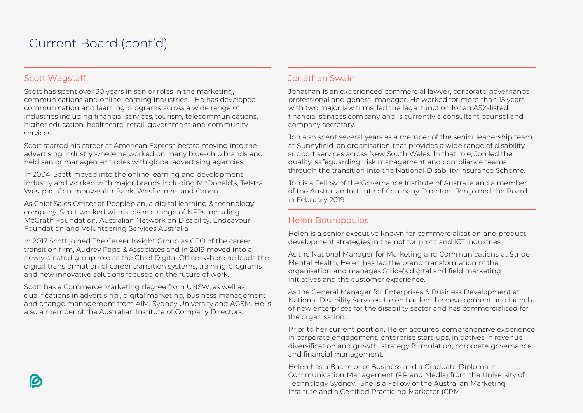### Current Board (cont'd)

#### Scott Wagstaff

Scott has spent over 30 years in senior roles in the marketing, communications and online learning industries. He has developed communication and learning programs across a wide range of industries including financial services, tourism, telecommunications, higher education, healthcare, retail, government and community services

Scott started his career at American Express before moving into the advertising industry where he worked on many blue-chip brands and held senior management roles with global advertising agencies.

In 2004, Scott moved into the online learning and development industry and worked with major brands including McDonald's, Telstra, Westpac, Commonwealth Bank, Wesfarmers and Canon.

As Chief Sales Officer at Peopleplan, a digital learning & technology company, Scott worked with a diverse range of NFPs including McGrath Foundation, Australian Network on Disability, Endeavour Foundation and Volunteering Services Australia.

In 2017 Scott joined The Career Insight Group as CEO of the career transition firm, Audrey Page & Associates and in 2019 moved into a newly created group role as the Chief Digital Officer where he leads the digital transformation of career transition systems, training programs and new innovative solutions focused on the future of work.

Scott has a Commerce Marketing degree from UNSW, as well as qualifications in advertising , digital marketing, business management and change management from AIM, Sydney University and AGSM. He is also a member of the Australian Institute of Company Directors.

#### Jonathan Swain

Jonathan is an experienced commercial lawyer, corporate governance professional and general manager. He worked for more than 15 years with two major law firms, led the legal function for an ASX-listed financial services company and is currently a consultant counsel and company secretary.

Jon also spent several years as a member of the senior leadership team at Sunnyfield, an organisation that provides a wide range of disability support services across New South Wales. In that role, Jon led the quality, safeguarding, risk management and compliance teams through the transition into the National Disability Insurance Scheme.

Jon is a Fellow of the Governance Institute of Australia and a member of the Australian Institute of Company Directors. Jon joined the Board in February 2019.

#### Helen Bouropoulos

Helen is a senior executive known for commercialisation and product development strategies in the not for profit and ICT industries.

As the National Manager for Marketing and Communications at Stride Mental Health, Helen has led the brand transformation of the organisation and manages Stride's digital and field marketing initiatives and the customer experience.

As the General Manager for Enterprises & Business Development at National Disability Services, Helen has led the development and launch of new enterprises for the disability sector and has commercialised for the organisation.

Prior to her current position, Helen acquired comprehensive experience in corporate engagement, enterprise start-ups, initiatives in revenue diversification and growth, strategy formulation, corporate governance and financial management.

Helen has a Bachelor of Business and a Graduate Diploma in Communication Management (PR and Media) from the University of Technology Sydney. She is a Fellow of the Australian Marketing Institute and a Certified Practicing Marketer (CPM).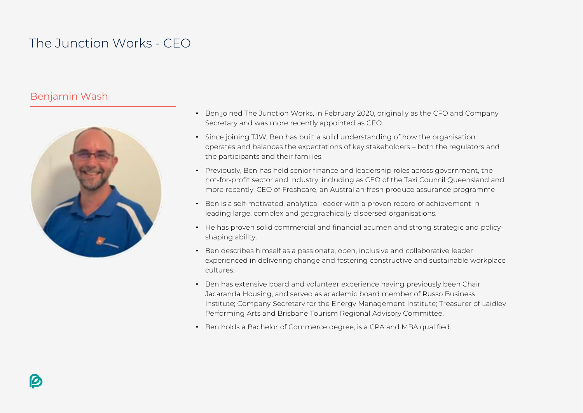### The Junction Works - CEO

### Benjamin Wash



- Ben joined The Junction Works, in February 2020, originally as the CFO and Company Secretary and was more recently appointed as CEO.
- Since joining TJW, Ben has built a solid understanding of how the organisation operates and balances the expectations of key stakeholders – both the regulators and the participants and their families.
- Previously, Ben has held senior finance and leadership roles across government, the not-for-profit sector and industry, including as CEO of the Taxi Council Queensland and more recently, CEO of Freshcare, an Australian fresh produce assurance programme
- Ben is a self-motivated, analytical leader with a proven record of achievement in leading large, complex and geographically dispersed organisations.
- He has proven solid commercial and financial acumen and strong strategic and policyshaping ability.
- Ben describes himself as a passionate, open, inclusive and collaborative leader experienced in delivering change and fostering constructive and sustainable workplace cultures.
- Ben has extensive board and volunteer experience having previously been Chair Jacaranda Housing, and served as academic board member of Russo Business Institute; Company Secretary for the Energy Management Institute; Treasurer of Laidley Performing Arts and Brisbane Tourism Regional Advisory Committee.
- Ben holds a Bachelor of Commerce degree, is a CPA and MBA qualified.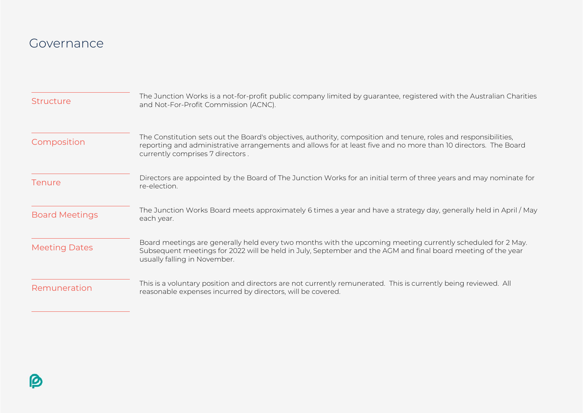### Governance

| <b>Structure</b>      | The Junction Works is a not-for-profit public company limited by guarantee, registered with the Australian Charities<br>and Not-For-Profit Commission (ACNC).                                                                                                           |
|-----------------------|-------------------------------------------------------------------------------------------------------------------------------------------------------------------------------------------------------------------------------------------------------------------------|
| Composition           | The Constitution sets out the Board's objectives, authority, composition and tenure, roles and responsibilities,<br>reporting and administrative arrangements and allows for at least five and no more than 10 directors. The Board<br>currently comprises 7 directors. |
| <b>Tenure</b>         | Directors are appointed by the Board of The Junction Works for an initial term of three years and may nominate for<br>re-election.                                                                                                                                      |
| <b>Board Meetings</b> | The Junction Works Board meets approximately 6 times a year and have a strategy day, generally held in April / May<br>each year.                                                                                                                                        |
| <b>Meeting Dates</b>  | Board meetings are generally held every two months with the upcoming meeting currently scheduled for 2 May.<br>Subsequent meetings for 2022 will be held in July, September and the AGM and final board meeting of the year<br>usually falling in November.             |
| Remuneration          | This is a voluntary position and directors are not currently remunerated. This is currently being reviewed. All<br>reasonable expenses incurred by directors, will be covered.                                                                                          |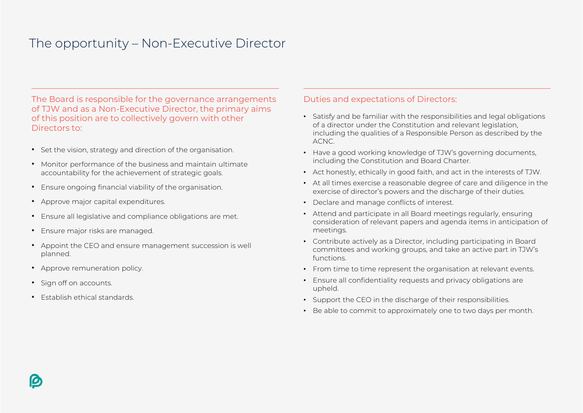## The opportunity – Non-Executive Director

The Board is responsible for the governance arrangements of TJW and as a Non-Executive Director, the primary aims of this position are to collectively govern with other Directors to:

- Set the vision, strategy and direction of the organisation.
- Monitor performance of the business and maintain ultimate accountability for the achievement of strategic goals.
- Ensure ongoing financial viability of the organisation.
- Approve major capital expenditures.
- Ensure all legislative and compliance obligations are met.
- Ensure major risks are managed.
- Appoint the CEO and ensure management succession is well planned.
- Approve remuneration policy.
- Sign off on accounts.
- Establish ethical standards.

#### Duties and expectations of Directors:

- Satisfy and be familiar with the responsibilities and legal obligations of a director under the Constitution and relevant legislation, including the qualities of a Responsible Person as described by the ACNC.
- Have a good working knowledge of TJW's governing documents, including the Constitution and Board Charter.
- Act honestly, ethically in good faith, and act in the interests of TJW.
- At all times exercise a reasonable degree of care and diligence in the exercise of director's powers and the discharge of their duties.
- Declare and manage conflicts of interest.
- Attend and participate in all Board meetings regularly, ensuring consideration of relevant papers and agenda items in anticipation of meetings.
- Contribute actively as a Director, including participating in Board committees and working groups, and take an active part in TJW's functions.
- From time to time represent the organisation at relevant events.
- Ensure all confidentiality requests and privacy obligations are upheld.
- Support the CEO in the discharge of their responsibilities.
- Be able to commit to approximately one to two days per month.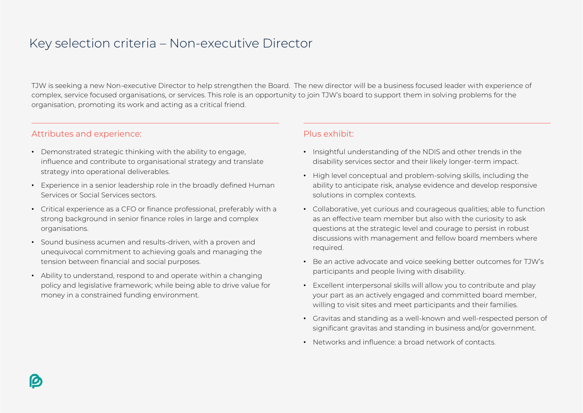### Key selection criteria – Non-executive Director

TJW is seeking a new Non-executive Director to help strengthen the Board. The new director will be a business focused leader with experience of complex, service focused organisations, or services. This role is an opportunity to join TJW's board to support them in solving problems for the organisation, promoting its work and acting as a critical friend.

#### Attributes and experience:

- Demonstrated strategic thinking with the ability to engage, influence and contribute to organisational strategy and translate strategy into operational deliverables.
- Experience in a senior leadership role in the broadly defined Human Services or Social Services sectors.
- Critical experience as a CFO or finance professional, preferably with a strong background in senior finance roles in large and complex organisations.
- Sound business acumen and results-driven, with a proven and unequivocal commitment to achieving goals and managing the tension between financial and social purposes.
- Ability to understand, respond to and operate within a changing policy and legislative framework; while being able to drive value for money in a constrained funding environment.

#### Plus exhibit:

- Insightful understanding of the NDIS and other trends in the disability services sector and their likely longer-term impact.
- High level conceptual and problem-solving skills, including the ability to anticipate risk, analyse evidence and develop responsive solutions in complex contexts.
- Collaborative, yet curious and courageous qualities; able to function as an effective team member but also with the curiosity to ask questions at the strategic level and courage to persist in robust discussions with management and fellow board members where required.
- Be an active advocate and voice seeking better outcomes for TJW's participants and people living with disability.
- Excellent interpersonal skills will allow you to contribute and play your part as an actively engaged and committed board member, willing to visit sites and meet participants and their families.
- Gravitas and standing as a well-known and well-respected person of significant gravitas and standing in business and/or government.
- Networks and influence: a broad network of contacts.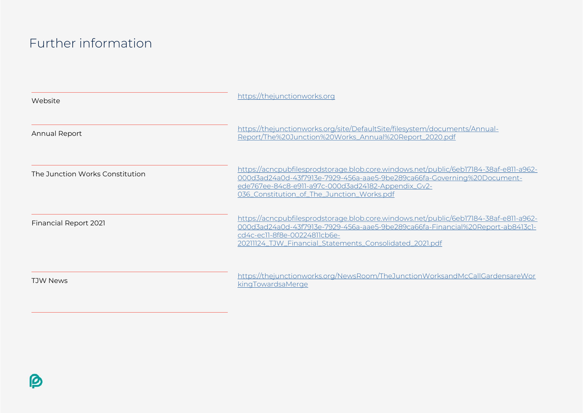### Further information

| Website                         | https://thejunctionworks.org                                                                                                                                                                                                                                         |
|---------------------------------|----------------------------------------------------------------------------------------------------------------------------------------------------------------------------------------------------------------------------------------------------------------------|
| Annual Report                   | https://thejunctionworks.org/site/DefaultSite/filesystem/documents/Annual-<br>Report/The%20Junction%20Works_Annual%20Report_2020.pdf                                                                                                                                 |
| The Junction Works Constitution | https://acncpubfilesprodstorage.blob.core.windows.net/public/6eb17184-38af-e811-a962-<br>000d3ad24a0d-43f7913e-7929-456a-aae5-9be289ca66fa-Governing%20Document-<br>ede767ee-84c8-e911-a97c-000d3ad24182-Appendix_Gv2-<br>036_Constitution_of_The_Junction_Works.pdf |
| <b>Financial Report 2021</b>    | https://acncpubfilesprodstorage.blob.core.windows.net/public/6eb17184-38af-e811-a962-<br>000d3ad24a0d-43f7913e-7929-456a-aae5-9be289ca66fa-Financial%20Report-ab8413c1-<br>cd4c-ec11-8f8e-00224811cb6e-<br>20211124_TJW_Financial_Statements_Consolidated_2021.pdf   |
| <b>TJW News</b>                 | https://thejunctionworks.org/NewsRoom/TheJunctionWorksandMcCallGardensareWor<br>kingTowardsaMerge                                                                                                                                                                    |